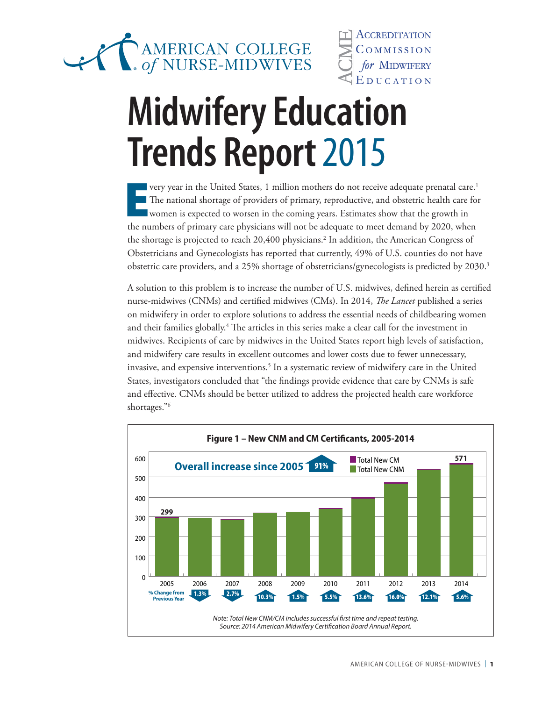

ACCREDITATION COMMISSION for MIDWIFERY EDUCATION

## **Midwifery Education Trends Report 2015**

E very year in the United States, 1 million mothers do not receive adequate prenatal care.<sup>1</sup> The national shortage of providers of primary, reproductive, and obstetric health care for women is expected to worsen in the coming years. Estimates show that the growth in the numbers of primary care physicians will not be adequate to meet demand by 2020, when the shortage is projected to reach 20,400 physicians.<sup>2</sup> In addition, the American Congress of Obstetricians and Gynecologists has reported that currently, 49% of U.S. counties do not have obstetric care providers, and a 25% shortage of obstetricians/gynecologists is predicted by 2030.<sup>3</sup>

A solution to this problem is to increase the number of U.S. midwives, defined herein as certified nurse-midwives (CNMs) and certified midwives (CMs). In 2014, *The Lancet* published a series on midwifery in order to explore solutions to address the essential needs of childbearing women and their families globally.<sup>4</sup> The articles in this series make a clear call for the investment in midwives. Recipients of care by midwives in the United States report high levels of satisfaction, and midwifery care results in excellent outcomes and lower costs due to fewer unnecessary, invasive, and expensive interventions.<sup>5</sup> In a systematic review of midwifery care in the United States, investigators concluded that "the findings provide evidence that care by CNMs is safe and effective. CNMs should be better utilized to address the projected health care workforce shortages."6

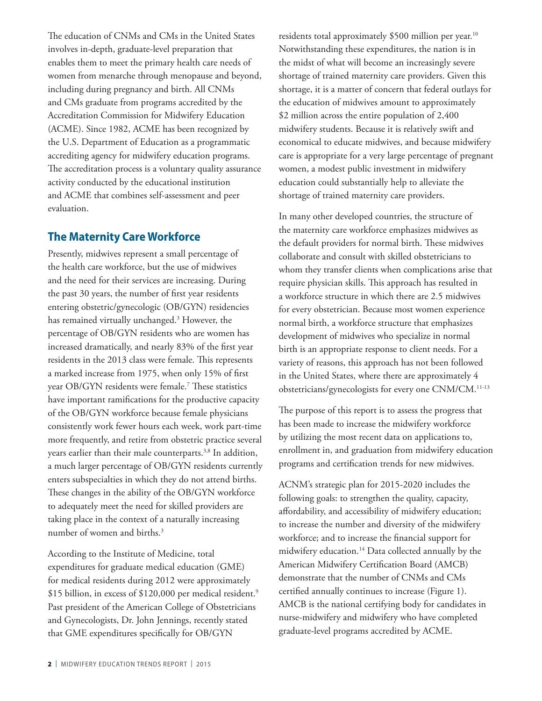The education of CNMs and CMs in the United States involves in-depth, graduate-level preparation that enables them to meet the primary health care needs of women from menarche through menopause and beyond, including during pregnancy and birth. All CNMs and CMs graduate from programs accredited by the Accreditation Commission for Midwifery Education (ACME). Since 1982, ACME has been recognized by the U.S. Department of Education as a programmatic accrediting agency for midwifery education programs. The accreditation process is a voluntary quality assurance activity conducted by the educational institution and ACME that combines self-assessment and peer evaluation.

#### **The Maternity Care Workforce**

Presently, midwives represent a small percentage of the health care workforce, but the use of midwives and the need for their services are increasing. During the past 30 years, the number of first year residents entering obstetric/gynecologic (OB/GYN) residencies has remained virtually unchanged.<sup>3</sup> However, the percentage of OB/GYN residents who are women has increased dramatically, and nearly 83% of the first year residents in the 2013 class were female. This represents a marked increase from 1975, when only 15% of first year OB/GYN residents were female.7 These statistics have important ramifications for the productive capacity of the OB/GYN workforce because female physicians consistently work fewer hours each week, work part-time more frequently, and retire from obstetric practice several years earlier than their male counterparts.<sup>3,8</sup> In addition, a much larger percentage of OB/GYN residents currently enters subspecialties in which they do not attend births. These changes in the ability of the OB/GYN workforce to adequately meet the need for skilled providers are taking place in the context of a naturally increasing number of women and births.<sup>3</sup>

According to the Institute of Medicine, total expenditures for graduate medical education (GME) for medical residents during 2012 were approximately \$15 billion, in excess of \$120,000 per medical resident.<sup>9</sup> Past president of the American College of Obstetricians and Gynecologists, Dr. John Jennings, recently stated that GME expenditures specifically for OB/GYN

residents total approximately \$500 million per year.<sup>10</sup> Notwithstanding these expenditures, the nation is in the midst of what will become an increasingly severe shortage of trained maternity care providers. Given this shortage, it is a matter of concern that federal outlays for the education of midwives amount to approximately \$2 million across the entire population of 2,400 midwifery students. Because it is relatively swift and economical to educate midwives, and because midwifery care is appropriate for a very large percentage of pregnant women, a modest public investment in midwifery education could substantially help to alleviate the shortage of trained maternity care providers.

In many other developed countries, the structure of the maternity care workforce emphasizes midwives as the default providers for normal birth. These midwives collaborate and consult with skilled obstetricians to whom they transfer clients when complications arise that require physician skills. This approach has resulted in a workforce structure in which there are 2.5 midwives for every obstetrician. Because most women experience normal birth, a workforce structure that emphasizes development of midwives who specialize in normal birth is an appropriate response to client needs. For a variety of reasons, this approach has not been followed in the United States, where there are approximately 4 obstetricians/gynecologists for every one CNM/CM.11-13

The purpose of this report is to assess the progress that has been made to increase the midwifery workforce by utilizing the most recent data on applications to, enrollment in, and graduation from midwifery education programs and certification trends for new midwives.

ACNM's strategic plan for 2015-2020 includes the following goals: to strengthen the quality, capacity, affordability, and accessibility of midwifery education; to increase the number and diversity of the midwifery workforce; and to increase the financial support for midwifery education.14 Data collected annually by the American Midwifery Certification Board (AMCB) demonstrate that the number of CNMs and CMs certified annually continues to increase (Figure 1). AMCB is the national certifying body for candidates in nurse-midwifery and midwifery who have completed graduate-level programs accredited by ACME.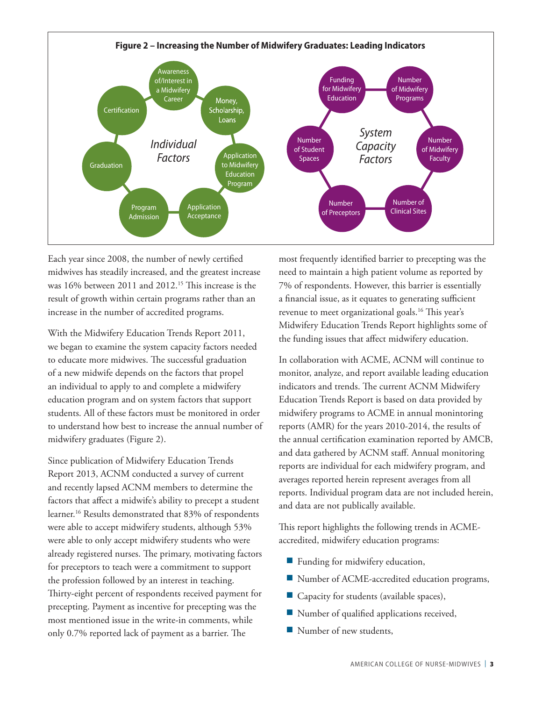

Each year since 2008, the number of newly certified midwives has steadily increased, and the greatest increase was 16% between 2011 and 2012.<sup>15</sup> This increase is the result of growth within certain programs rather than an increase in the number of accredited programs.

With the Midwifery Education Trends Report 2011, we began to examine the system capacity factors needed to educate more midwives. The successful graduation of a new midwife depends on the factors that propel an individual to apply to and complete a midwifery education program and on system factors that support students. All of these factors must be monitored in order to understand how best to increase the annual number of midwifery graduates (Figure 2).

Since publication of Midwifery Education Trends Report 2013, ACNM conducted a survey of current and recently lapsed ACNM members to determine the factors that affect a midwife's ability to precept a student learner.16 Results demonstrated that 83% of respondents were able to accept midwifery students, although 53% were able to only accept midwifery students who were already registered nurses. The primary, motivating factors for preceptors to teach were a commitment to support the profession followed by an interest in teaching. Thirty-eight percent of respondents received payment for precepting. Payment as incentive for precepting was the most mentioned issue in the write-in comments, while only 0.7% reported lack of payment as a barrier. The

most frequently identified barrier to precepting was the need to maintain a high patient volume as reported by 7% of respondents. However, this barrier is essentially a financial issue, as it equates to generating sufficient revenue to meet organizational goals.16 This year's Midwifery Education Trends Report highlights some of the funding issues that affect midwifery education.

In collaboration with ACME, ACNM will continue to monitor, analyze, and report available leading education indicators and trends. The current ACNM Midwifery Education Trends Report is based on data provided by midwifery programs to ACME in annual monintoring reports (AMR) for the years 2010-2014, the results of the annual certification examination reported by AMCB, and data gathered by ACNM staff. Annual monitoring reports are individual for each midwifery program, and averages reported herein represent averages from all reports. Individual program data are not included herein, and data are not publically available.

This report highlights the following trends in ACMEaccredited, midwifery education programs:

- Funding for midwifery education,
- Number of ACME-accredited education programs,
- Capacity for students (available spaces),
- Number of qualified applications received,
- Number of new students,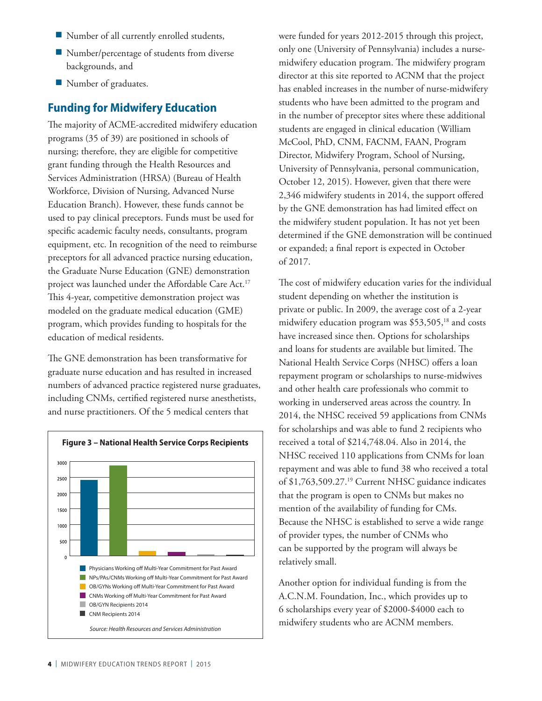- Number of all currently enrolled students,
- Number/percentage of students from diverse backgrounds, and
- Number of graduates.

#### **Funding for Midwifery Education**

The majority of ACME-accredited midwifery education programs (35 of 39) are positioned in schools of nursing; therefore, they are eligible for competitive grant funding through the Health Resources and Services Administration (HRSA) (Bureau of Health Workforce, Division of Nursing, Advanced Nurse Education Branch). However, these funds cannot be used to pay clinical preceptors. Funds must be used for specific academic faculty needs, consultants, program equipment, etc. In recognition of the need to reimburse preceptors for all advanced practice nursing education, the Graduate Nurse Education (GNE) demonstration project was launched under the Affordable Care Act.<sup>17</sup> This 4-year, competitive demonstration project was modeled on the graduate medical education (GME) program, which provides funding to hospitals for the education of medical residents.

The GNE demonstration has been transformative for graduate nurse education and has resulted in increased numbers of advanced practice registered nurse graduates, including CNMs, certified registered nurse anesthetists, and nurse practitioners. Of the 5 medical centers that



were funded for years 2012-2015 through this project, only one (University of Pennsylvania) includes a nursemidwifery education program. The midwifery program director at this site reported to ACNM that the project has enabled increases in the number of nurse-midwifery students who have been admitted to the program and in the number of preceptor sites where these additional students are engaged in clinical education (William McCool, PhD, CNM, FACNM, FAAN, Program Director, Midwifery Program, School of Nursing, University of Pennsylvania, personal communication, October 12, 2015). However, given that there were 2,346 midwifery students in 2014, the support offered by the GNE demonstration has had limited effect on the midwifery student population. It has not yet been determined if the GNE demonstration will be continued or expanded; a final report is expected in October of 2017.

The cost of midwifery education varies for the individual student depending on whether the institution is private or public. In 2009, the average cost of a 2-year midwifery education program was \$53,505,<sup>18</sup> and costs have increased since then. Options for scholarships and loans for students are available but limited. The National Health Service Corps (NHSC) offers a loan repayment program or scholarships to nurse-midwives and other health care professionals who commit to working in underserved areas across the country. In 2014, the NHSC received 59 applications from CNMs for scholarships and was able to fund 2 recipients who received a total of \$214,748.04. Also in 2014, the NHSC received 110 applications from CNMs for loan repayment and was able to fund 38 who received a total of \$1,763,509.27.19 Current NHSC guidance indicates that the program is open to CNMs but makes no mention of the availability of funding for CMs. Because the NHSC is established to serve a wide range of provider types, the number of CNMs who can be supported by the program will always be relatively small.

Another option for individual funding is from the A.C.N.M. Foundation, Inc., which provides up to 6 scholarships every year of \$2000-\$4000 each to midwifery students who are ACNM members.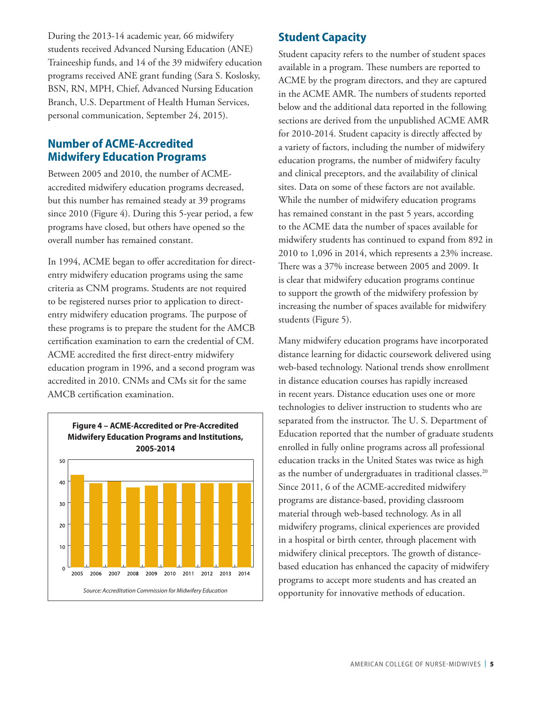During the 2013-14 academic year, 66 midwifery students received Advanced Nursing Education (ANE) Traineeship funds, and 14 of the 39 midwifery education programs received ANE grant funding (Sara S. Koslosky, BSN, RN, MPH, Chief, Advanced Nursing Education Branch, U.S. Department of Health Human Services, personal communication, September 24, 2015).

## **Number of ACME-Accredited Midwifery Education Programs**

Between 2005 and 2010, the number of ACMEaccredited midwifery education programs decreased, but this number has remained steady at 39 programs since 2010 (Figure 4). During this 5-year period, a few programs have closed, but others have opened so the overall number has remained constant.

In 1994, ACME began to offer accreditation for directentry midwifery education programs using the same criteria as CNM programs. Students are not required to be registered nurses prior to application to directentry midwifery education programs. The purpose of these programs is to prepare the student for the AMCB certification examination to earn the credential of CM. ACME accredited the first direct-entry midwifery education program in 1996, and a second program was accredited in 2010. CNMs and CMs sit for the same AMCB certification examination.



#### **Student Capacity**

Student capacity refers to the number of student spaces available in a program. These numbers are reported to ACME by the program directors, and they are captured in the ACME AMR. The numbers of students reported below and the additional data reported in the following sections are derived from the unpublished ACME AMR for 2010-2014. Student capacity is directly affected by a variety of factors, including the number of midwifery education programs, the number of midwifery faculty and clinical preceptors, and the availability of clinical sites. Data on some of these factors are not available. While the number of midwifery education programs has remained constant in the past 5 years, according to the ACME data the number of spaces available for midwifery students has continued to expand from 892 in 2010 to 1,096 in 2014, which represents a 23% increase. There was a 37% increase between 2005 and 2009. It is clear that midwifery education programs continue to support the growth of the midwifery profession by increasing the number of spaces available for midwifery students (Figure 5).

Many midwifery education programs have incorporated distance learning for didactic coursework delivered using web-based technology. National trends show enrollment in distance education courses has rapidly increased in recent years. Distance education uses one or more technologies to deliver instruction to students who are separated from the instructor. The U. S. Department of Education reported that the number of graduate students enrolled in fully online programs across all professional education tracks in the United States was twice as high as the number of undergraduates in traditional classes.<sup>20</sup> Since 2011, 6 of the ACME-accredited midwifery programs are distance-based, providing classroom material through web-based technology. As in all midwifery programs, clinical experiences are provided in a hospital or birth center, through placement with midwifery clinical preceptors. The growth of distancebased education has enhanced the capacity of midwifery programs to accept more students and has created an opportunity for innovative methods of education.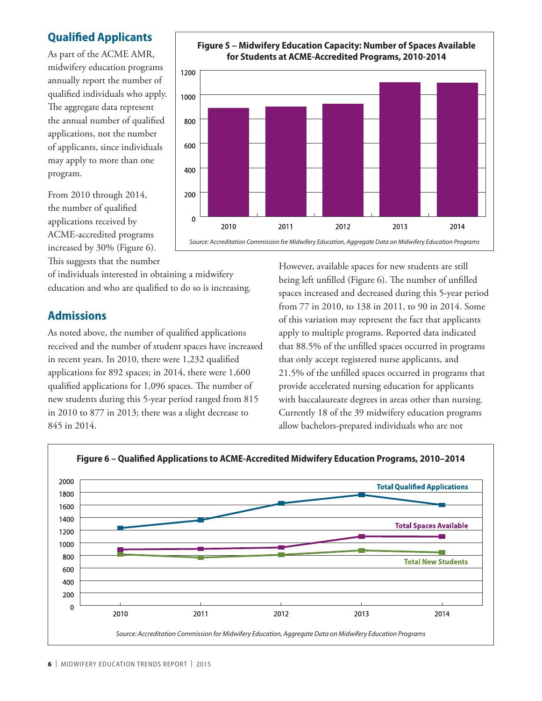## **Qualified Applicants**

As part of the ACME AMR, midwifery education programs annually report the number of qualified individuals who apply. The aggregate data represent the annual number of qualified applications, not the number of applicants, since individuals may apply to more than one program.



of individuals interested in obtaining a midwifery education and who are qualified to do so is increasing.

#### **Admissions**

As noted above, the number of qualified applications received and the number of student spaces have increased in recent years. In 2010, there were 1,232 qualified applications for 892 spaces; in 2014, there were 1,600 qualified applications for 1,096 spaces. The number of new students during this 5-year period ranged from 815 in 2010 to 877 in 2013; there was a slight decrease to 845 in 2014.



However, available spaces for new students are still being left unfilled (Figure 6). The number of unfilled spaces increased and decreased during this 5-year period from 77 in 2010, to 138 in 2011, to 90 in 2014. Some of this variation may represent the fact that applicants apply to multiple programs. Reported data indicated that 88.5% of the unfilled spaces occurred in programs that only accept registered nurse applicants, and 21.5% of the unfilled spaces occurred in programs that provide accelerated nursing education for applicants with baccalaureate degrees in areas other than nursing. Currently 18 of the 39 midwifery education programs allow bachelors-prepared individuals who are not



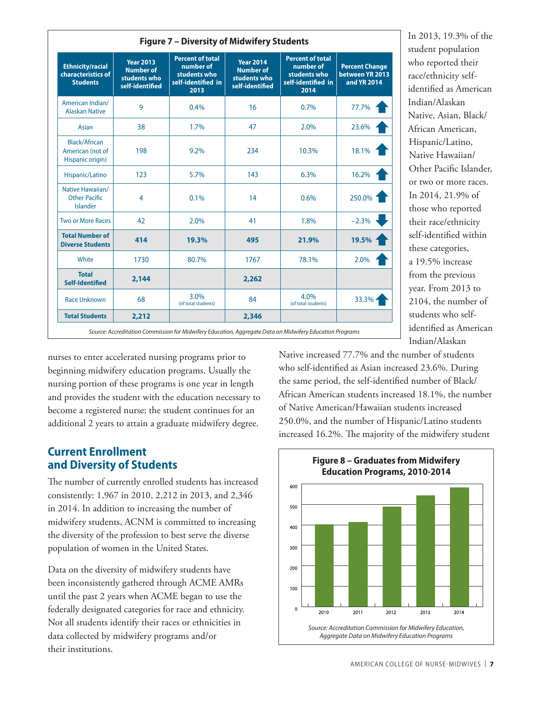| <b>Ethnicity/racial</b><br>characteristics of<br><b>Students</b> | <b>Year 2013</b><br><b>Number of</b><br>students who<br>self-identified | <b>Percent of total</b><br>number of<br>students who<br>self-identified in<br>2013 | <b>Year 2014</b><br><b>Number of</b><br>students who<br>self-identified | <b>Percent of total</b><br>number of<br>students who<br>self-identified in<br>2014 | <b>Percent Change</b><br>between YR 2013<br>and YR 2014 |
|------------------------------------------------------------------|-------------------------------------------------------------------------|------------------------------------------------------------------------------------|-------------------------------------------------------------------------|------------------------------------------------------------------------------------|---------------------------------------------------------|
| American Indian/<br><b>Alaskan Native</b>                        | 9                                                                       | 0.4%                                                                               | 16                                                                      | 0.7%                                                                               | 77.7%                                                   |
| <b>Asian</b>                                                     | 38                                                                      | 1.7%                                                                               | 47                                                                      | 2.0%                                                                               | 23.6%                                                   |
| Black/African<br>American (not of<br>Hispanic origin)            | 198                                                                     | 9.2%                                                                               | 234                                                                     | 10.3%                                                                              | 18.1%                                                   |
| Hispanic/Latino                                                  | 123                                                                     | 5.7%                                                                               | 143                                                                     | 6.3%                                                                               | 16.2%                                                   |
| Native Hawaiian/<br><b>Other Pacific</b><br>Islander             | $\overline{4}$                                                          | 0.1%                                                                               | 14                                                                      | 0.6%                                                                               | 250.0%                                                  |
| <b>Two or More Races</b>                                         | 42                                                                      | 2.0%                                                                               | 41                                                                      | 1.8%                                                                               | $-2.3%$                                                 |
| <b>Total Number of</b><br><b>Diverse Students</b>                | 414                                                                     | 19.3%                                                                              | 495                                                                     | 21.9%                                                                              | 19.5%                                                   |
| White                                                            | 1730                                                                    | 80.7%                                                                              | 1767                                                                    | 78.1%                                                                              | 2.0%                                                    |
| <b>Total</b><br><b>Self-Identified</b>                           | 2,144                                                                   |                                                                                    | 2,262                                                                   |                                                                                    |                                                         |
| <b>Race Unknown</b>                                              | 68                                                                      | 3.0%<br>(of total students)                                                        | 84                                                                      | 4.0%<br>(of total students)                                                        | 33.3%                                                   |
| <b>Total Students</b>                                            | 2,212                                                                   |                                                                                    | 2,346                                                                   |                                                                                    |                                                         |

In 2013, 19.3% of the student population who reported their race/ethnicity selfidentified as American Indian/Alaskan Native, Asian, Black/ African American, Hispanic/Latino, Native Hawaiian/ Other Pacific Islander, or two or more races. In 2014, 21.9% of those who reported their race/ethnicity self-identified within these categories, a 19.5% increase from the previous year. From 2013 to 2104, the number of students who selfidentified as American Indian/Alaskan

nurses to enter accelerated nursing programs prior to beginning midwifery education programs. Usually the nursing portion of these programs is one year in length and provides the student with the education necessary to become a registered nurse; the student continues for an additional 2 years to attain a graduate midwifery degree.

#### **Current Enrollment and Diversity of Students**

The number of currently enrolled students has increased consistently: 1,967 in 2010, 2,212 in 2013, and 2,346 in 2014. In addition to increasing the number of midwifery students, ACNM is committed to increasing the diversity of the profession to best serve the diverse population of women in the United States.

Data on the diversity of midwifery students have been inconsistently gathered through ACME AMRs until the past 2 years when ACME began to use the federally designated categories for race and ethnicity. Not all students identify their races or ethnicities in data collected by midwifery programs and/or their institutions.

Native increased 77.7% and the number of students who self-identified as Asian increased 23.6%. During the same period, the self-identified number of Black/ African American students increased 18.1%, the number of Native American/Hawaiian students increased 250.0%, and the number of Hispanic/Latino students increased 16.2%. The majority of the midwifery student

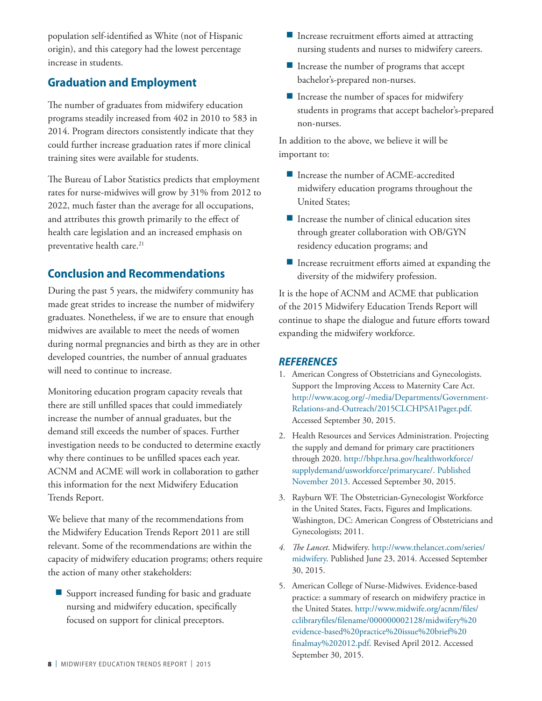population self-identified as White (not of Hispanic origin), and this category had the lowest percentage increase in students.

## **Graduation and Employment**

The number of graduates from midwifery education programs steadily increased from 402 in 2010 to 583 in 2014. Program directors consistently indicate that they could further increase graduation rates if more clinical training sites were available for students.

The Bureau of Labor Statistics predicts that employment rates for nurse-midwives will grow by 31% from 2012 to 2022, much faster than the average for all occupations, and attributes this growth primarily to the effect of health care legislation and an increased emphasis on preventative health care.<sup>21</sup>

#### **Conclusion and Recommendations**

During the past 5 years, the midwifery community has made great strides to increase the number of midwifery graduates. Nonetheless, if we are to ensure that enough midwives are available to meet the needs of women during normal pregnancies and birth as they are in other developed countries, the number of annual graduates will need to continue to increase.

Monitoring education program capacity reveals that there are still unfilled spaces that could immediately increase the number of annual graduates, but the demand still exceeds the number of spaces. Further investigation needs to be conducted to determine exactly why there continues to be unfilled spaces each year. ACNM and ACME will work in collaboration to gather this information for the next Midwifery Education Trends Report.

We believe that many of the recommendations from the Midwifery Education Trends Report 2011 are still relevant. Some of the recommendations are within the capacity of midwifery education programs; others require the action of many other stakeholders:

■ Support increased funding for basic and graduate nursing and midwifery education, specifically focused on support for clinical preceptors.

- Increase recruitment efforts aimed at attracting nursing students and nurses to midwifery careers.
- Increase the number of programs that accept bachelor's-prepared non-nurses.
- Increase the number of spaces for midwifery students in programs that accept bachelor's-prepared non-nurses.

In addition to the above, we believe it will be important to:

- Increase the number of ACME-accredited midwifery education programs throughout the United States;
- Increase the number of clinical education sites through greater collaboration with OB/GYN residency education programs; and
- Increase recruitment efforts aimed at expanding the diversity of the midwifery profession.

It is the hope of ACNM and ACME that publication of the 2015 Midwifery Education Trends Report will continue to shape the dialogue and future efforts toward expanding the midwifery workforce.

#### *REFERENCES*

- 1. American Congress of Obstetricians and Gynecologists. Support the Improving Access to Maternity Care Act. http://www.acog.org/-/media/Departments/Government-Relations-and-Outreach/2015CLCHPSA1Pager.pdf. Accessed September 30, 2015.
- 2. Health Resources and Services Administration. Projecting the supply and demand for primary care practitioners through 2020. http://bhpr.hrsa.gov/healthworkforce/ supplydemand/usworkforce/primarycare/. Published November 2013. Accessed September 30, 2015.
- 3. Rayburn WF. The Obstetrician-Gynecologist Workforce in the United States, Facts, Figures and Implications. Washington, DC: American Congress of Obstetricians and Gynecologists; 2011.
- *4. The Lancet*. Midwifery. http://www.thelancet.com/series/ midwifery. Published June 23, 2014. Accessed September 30, 2015.
- 5. American College of Nurse-Midwives. Evidence-based practice: a summary of research on midwifery practice in the United States. http://www.midwife.org/acnm/files/ cclibraryfiles/filename/000000002128/midwifery%20 evidence-based%20practice%20issue%20brief%20 finalmay%202012.pdf. Revised April 2012. Accessed September 30, 2015.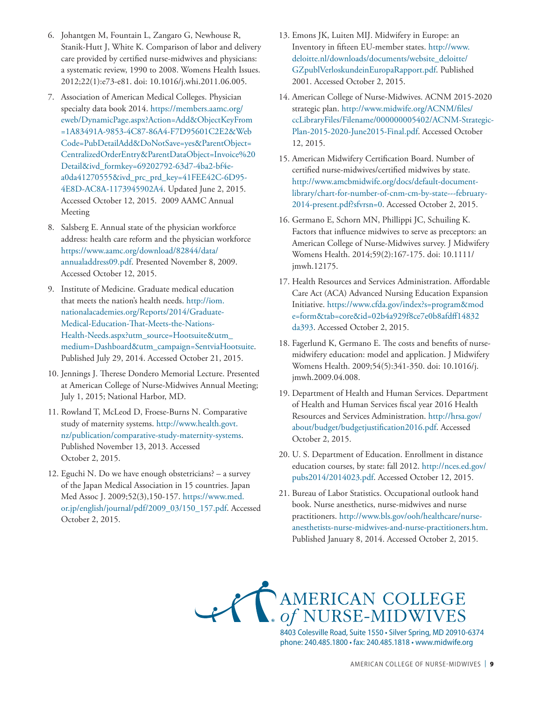- 6. Johantgen M, Fountain L, Zangaro G, Newhouse R, Stanik-Hutt J, White K. Comparison of labor and delivery care provided by certified nurse-midwives and physicians: a systematic review, 1990 to 2008. Womens Health Issues. 2012;22(1):e73-e81. doi: 10.1016/j.whi.2011.06.005.
- 7. Association of American Medical Colleges. Physician specialty data book 2014. https://members.aamc.org/ eweb/DynamicPage.aspx?Action=Add&ObjectKeyFrom =1A83491A-9853-4C87-86A4-F7D95601C2E2&Web Code=PubDetailAdd&DoNotSave=yes&ParentObject= CentralizedOrderEntry&ParentDataObject=Invoice%20 Detail&ivd\_formkey=69202792-63d7-4ba2-bf4ea0da41270555&ivd\_prc\_prd\_key=41FEE42C-6D95- 4E8D-AC8A-1173945902A4. Updated June 2, 2015. Accessed October 12, 2015. 2009 AAMC Annual Meeting
- 8. Salsberg E. Annual state of the physician workforce address: health care reform and the physician workforce https://www.aamc.org/download/82844/data/ annualaddress09.pdf. Presented November 8, 2009. Accessed October 12, 2015.
- 9. Institute of Medicine. Graduate medical education that meets the nation's health needs. http://iom. nationalacademies.org/Reports/2014/Graduate-Medical-Education-That-Meets-the-Nations-Health-Needs.aspx?utm\_source=Hootsuite&utm\_ medium=Dashboard&utm\_campaign=SentviaHootsuite. Published July 29, 2014. Accessed October 21, 2015.
- 10. Jennings J. Therese Dondero Memorial Lecture. Presented at American College of Nurse-Midwives Annual Meeting; July 1, 2015; National Harbor, MD.
- 11. Rowland T, McLeod D, Froese-Burns N. Comparative study of maternity systems. http://www.health.govt. nz/publication/comparative-study-maternity-systems. Published November 13, 2013. Accessed October 2, 2015.
- 12. Eguchi N. Do we have enough obstetricians? a survey of the Japan Medical Association in 15 countries. Japan Med Assoc J. 2009;52(3),150-157. https://www.med. or.jp/english/journal/pdf/2009\_03/150\_157.pdf. Accessed October 2, 2015.
- 13. Emons JK, Luiten MIJ. Midwifery in Europe: an Inventory in fifteen EU-member states. http://www. deloitte.nl/downloads/documents/website\_deloitte/ GZpublVerloskundeinEuropaRapport.pdf. Published 2001. Accessed October 2, 2015.
- 14. American College of Nurse-Midwives. ACNM 2015-2020 strategic plan. http://www.midwife.org/ACNM/files/ ccLibraryFiles/Filename/000000005402/ACNM-Strategic-Plan-2015-2020-June2015-Final.pdf. Accessed October 12, 2015.
- 15. American Midwifery Certification Board. Number of certified nurse-midwives/certified midwives by state. http://www.amcbmidwife.org/docs/default-documentlibrary/chart-for-number-of-cnm-cm-by-state---february-2014-present.pdf?sfvrsn=0. Accessed October 2, 2015.
- 16. Germano E, Schorn MN, Phillippi JC, Schuiling K. Factors that influence midwives to serve as preceptors: an American College of Nurse-Midwives survey. J Midwifery Womens Health. 2014;59(2):167-175. doi: 10.1111/ jmwh.12175.
- 17. Health Resources and Services Administration. Affordable Care Act (ACA) Advanced Nursing Education Expansion Initiative. https://www.cfda.gov/index?s=program&mod e=form&tab=core&id=02b4a929f8ce7e0b8afdff14832 da393. Accessed October 2, 2015.
- 18. Fagerlund K, Germano E. The costs and benefits of nursemidwifery education: model and application. J Midwifery Womens Health. 2009;54(5):341-350. doi: 10.1016/j. jmwh.2009.04.008.
- 19. Department of Health and Human Services. Department of Health and Human Services fiscal year 2016 Health Resources and Services Administration. http://hrsa.gov/ about/budget/budgetjustification2016.pdf. Accessed October 2, 2015.
- 20. U. S. Department of Education. Enrollment in distance education courses, by state: fall 2012. http://nces.ed.gov/ pubs2014/2014023.pdf. Accessed October 12, 2015.
- 21. Bureau of Labor Statistics. Occupational outlook hand book. Nurse anesthetics, nurse-midwives and nurse practitioners. http://www.bls.gov/ooh/healthcare/nurseanesthetists-nurse-midwives-and-nurse-practitioners.htm. Published January 8, 2014. Accessed October 2, 2015.

AMERICAN COLLEGE

8403 Colesville Road, Suite 1550 • Silver Spring, MD 20910-6374 phone: 240.485.1800 • fax: 240.485.1818 • www.midwife.org